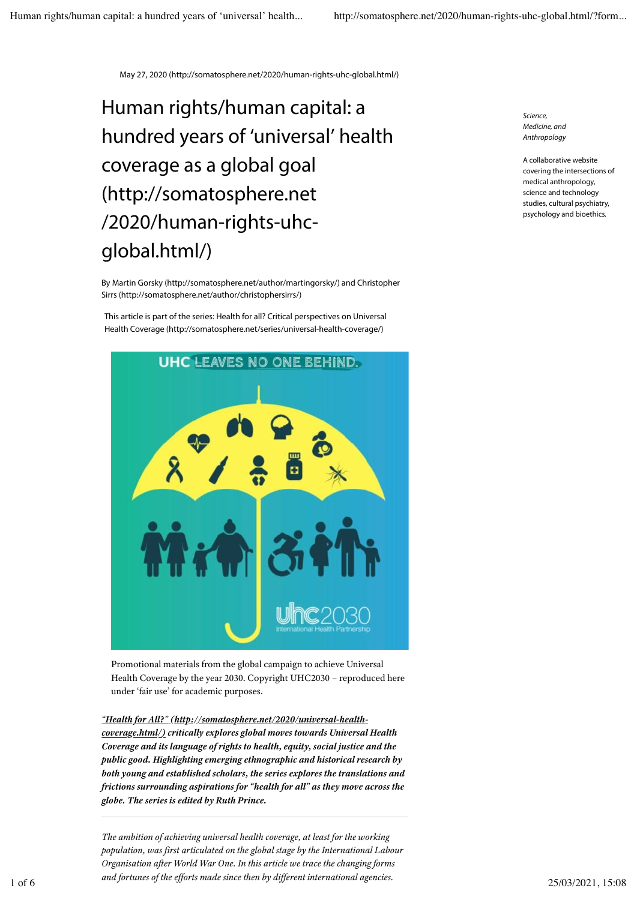May 27, 2020 (http://somatosphere.net/2020/human-rights-uhc-global.html/)

## Human rights/human capital: a hundred years of 'universal' health coverage as a global goal (http://somatosphere.net /2020/human-rights-uhcglobal.html/)

By Martin Gorsky (http://somatosphere.net/author/martingorsky/) and Christopher Sirrs (http://somatosphere.net/author/christophersirrs/)

This article is part of the series: Health for all? Critical perspectives on Universal Health Coverage (http://somatosphere.net/series/universal-health-coverage/)



Promotional materials from the global campaign to achieve Universal Health Coverage by the year 2030. Copyright UHC2030 – reproduced here under 'fair use' for academic purposes.

*"Health for All?" (http://somatosphere.net/2020/universal-healthcoverage.html/) critically explores global moves towards Universal Health Coverage and its language of rights to health, equity, social justice and the public good. Highlighting emerging ethnographic and historical research by both young and established scholars, the series explores the translations and frictions surrounding aspirations for "health for all" as they move across the globe. The series is edited by Ruth Prince.*

*The ambition of achieving universal health coverage, at least for the working population, was first articulated on the global stage by the International Labour Organisation after World War One. In this article we trace the changing forms and fortunes of the efforts made since then by different international agencies.*  1 of 6 25/03/2021, 15:08

*Science, Medicine, and Anthropology*

A collaborative website covering the intersections of medical anthropology, science and technology studies, cultural psychiatry, psychology and bioethics.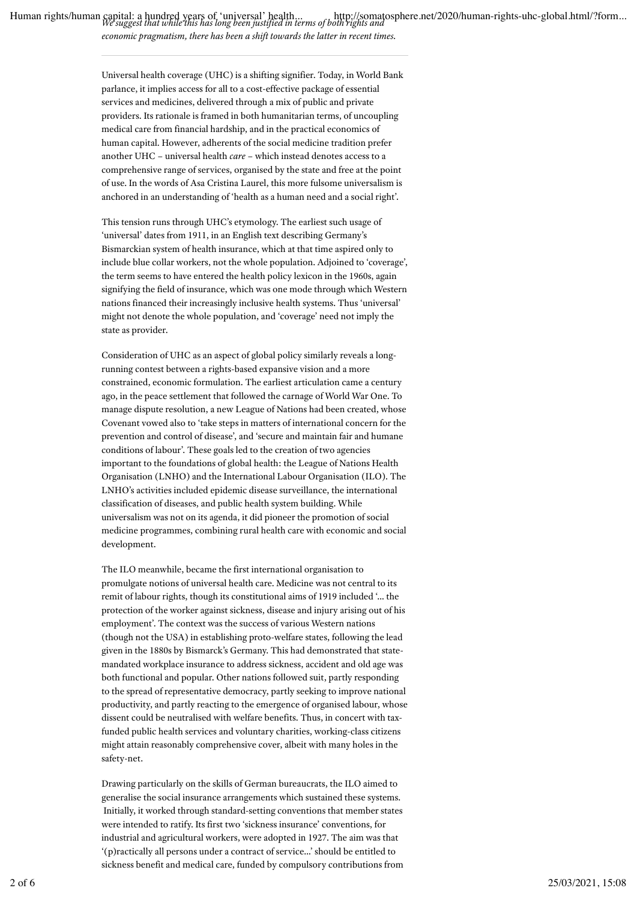Human rights/human capital: a hundred years of 'universal' health... http://somatosphere.net/2020/human-rights-uhc-global.html/?form...<br>We suggest that while this has long been justified in terms of both rights and *economic pragmatism, there has been a shift towards the latter in recent times.*

> Universal health coverage (UHC) is a shifting signifier. Today, in World Bank parlance, it implies access for all to a cost-effective package of essential services and medicines, delivered through a mix of public and private providers. Its rationale is framed in both humanitarian terms, of uncoupling medical care from financial hardship, and in the practical economics of human capital. However, adherents of the social medicine tradition prefer another UHC – universal health *care* – which instead denotes access to a comprehensive range of services, organised by the state and free at the point of use. In the words of Asa Cristina Laurel, this more fulsome universalism is anchored in an understanding of 'health as a human need and a social right'.

> This tension runs through UHC's etymology. The earliest such usage of 'universal' dates from 1911, in an English text describing Germany's Bismarckian system of health insurance, which at that time aspired only to include blue collar workers, not the whole population. Adjoined to 'coverage', the term seems to have entered the health policy lexicon in the 1960s, again signifying the field of insurance, which was one mode through which Western nations financed their increasingly inclusive health systems. Thus 'universal' might not denote the whole population, and 'coverage' need not imply the state as provider.

> Consideration of UHC as an aspect of global policy similarly reveals a longrunning contest between a rights-based expansive vision and a more constrained, economic formulation. The earliest articulation came a century ago, in the peace settlement that followed the carnage of World War One. To manage dispute resolution, a new League of Nations had been created, whose Covenant vowed also to 'take steps in matters of international concern for the prevention and control of disease', and 'secure and maintain fair and humane conditions of labour'. These goals led to the creation of two agencies important to the foundations of global health: the League of Nations Health Organisation (LNHO) and the International Labour Organisation (ILO). The LNHO's activities included epidemic disease surveillance, the international classification of diseases, and public health system building. While universalism was not on its agenda, it did pioneer the promotion of social medicine programmes, combining rural health care with economic and social development.

> The ILO meanwhile, became the first international organisation to promulgate notions of universal health care. Medicine was not central to its remit of labour rights, though its constitutional aims of 1919 included '… the protection of the worker against sickness, disease and injury arising out of his employment'. The context was the success of various Western nations (though not the USA) in establishing proto-welfare states, following the lead given in the 1880s by Bismarck's Germany. This had demonstrated that statemandated workplace insurance to address sickness, accident and old age was both functional and popular. Other nations followed suit, partly responding to the spread of representative democracy, partly seeking to improve national productivity, and partly reacting to the emergence of organised labour, whose dissent could be neutralised with welfare benefits. Thus, in concert with taxfunded public health services and voluntary charities, working-class citizens might attain reasonably comprehensive cover, albeit with many holes in the safety-net.

Drawing particularly on the skills of German bureaucrats, the ILO aimed to generalise the social insurance arrangements which sustained these systems. Initially, it worked through standard-setting conventions that member states were intended to ratify. Its first two 'sickness insurance' conventions, for industrial and agricultural workers, were adopted in 1927. The aim was that '(p)ractically all persons under a contract of service…' should be entitled to sickness benefit and medical care, funded by compulsory contributions from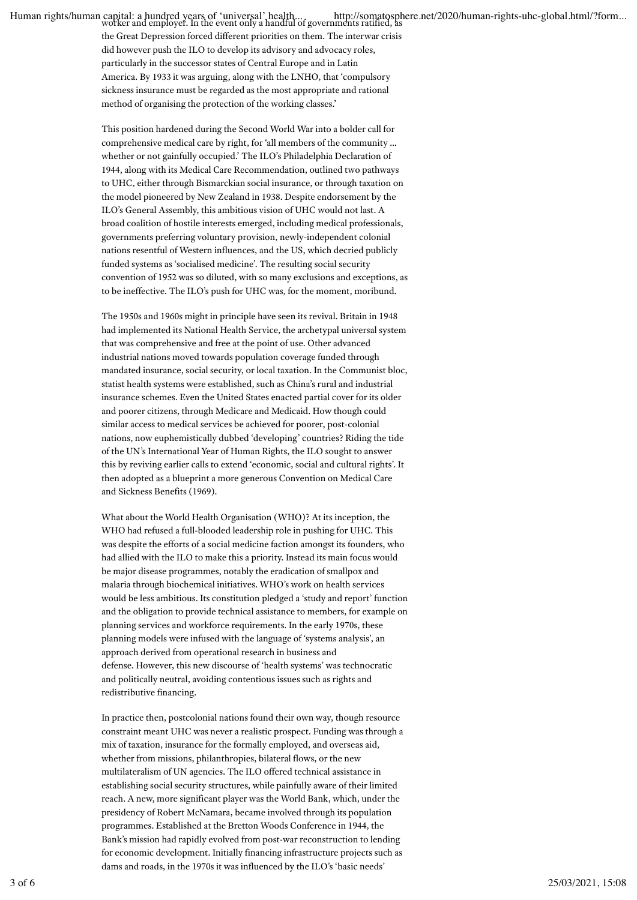Human rights/human capital: a hundred years of 'universal' health... http://somatosphere.net/2020/human-rights-uhc-global.html/?form...<br>worker and employer. In the event only a handful of governments ratified, as

the Great Depression forced different priorities on them. The interwar crisis did however push the ILO to develop its advisory and advocacy roles, particularly in the successor states of Central Europe and in Latin America. By 1933 it was arguing, along with the LNHO, that 'compulsory sickness insurance must be regarded as the most appropriate and rational method of organising the protection of the working classes.'

This position hardened during the Second World War into a bolder call for comprehensive medical care by right, for 'all members of the community … whether or not gainfully occupied.' The ILO's Philadelphia Declaration of 1944, along with its Medical Care Recommendation, outlined two pathways to UHC, either through Bismarckian social insurance, or through taxation on the model pioneered by New Zealand in 1938. Despite endorsement by the ILO's General Assembly, this ambitious vision of UHC would not last. A broad coalition of hostile interests emerged, including medical professionals, governments preferring voluntary provision, newly-independent colonial nations resentful of Western influences, and the US, which decried publicly funded systems as 'socialised medicine'. The resulting social security convention of 1952 was so diluted, with so many exclusions and exceptions, as to be ineffective. The ILO's push for UHC was, for the moment, moribund.

The 1950s and 1960s might in principle have seen its revival. Britain in 1948 had implemented its National Health Service, the archetypal universal system that was comprehensive and free at the point of use. Other advanced industrial nations moved towards population coverage funded through mandated insurance, social security, or local taxation. In the Communist bloc, statist health systems were established, such as China's rural and industrial insurance schemes. Even the United States enacted partial cover for its older and poorer citizens, through Medicare and Medicaid. How though could similar access to medical services be achieved for poorer, post-colonial nations, now euphemistically dubbed 'developing' countries? Riding the tide of the UN's International Year of Human Rights, the ILO sought to answer this by reviving earlier calls to extend 'economic, social and cultural rights'. It then adopted as a blueprint a more generous Convention on Medical Care and Sickness Benefits (1969).

What about the World Health Organisation (WHO)? At its inception, the WHO had refused a full-blooded leadership role in pushing for UHC. This was despite the efforts of a social medicine faction amongst its founders, who had allied with the ILO to make this a priority. Instead its main focus would be major disease programmes, notably the eradication of smallpox and malaria through biochemical initiatives. WHO's work on health services would be less ambitious. Its constitution pledged a 'study and report' function and the obligation to provide technical assistance to members, for example on planning services and workforce requirements. In the early 1970s, these planning models were infused with the language of 'systems analysis', an approach derived from operational research in business and defense. However, this new discourse of 'health systems' was technocratic and politically neutral, avoiding contentious issues such as rights and redistributive financing.

In practice then, postcolonial nations found their own way, though resource constraint meant UHC was never a realistic prospect. Funding was through a mix of taxation, insurance for the formally employed, and overseas aid, whether from missions, philanthropies, bilateral flows, or the new multilateralism of UN agencies. The ILO offered technical assistance in establishing social security structures, while painfully aware of their limited reach. A new, more significant player was the World Bank, which, under the presidency of Robert McNamara, became involved through its population programmes. Established at the Bretton Woods Conference in 1944, the Bank's mission had rapidly evolved from post-war reconstruction to lending for economic development. Initially financing infrastructure projects such as dams and roads, in the 1970s it was influenced by the ILO's 'basic needs'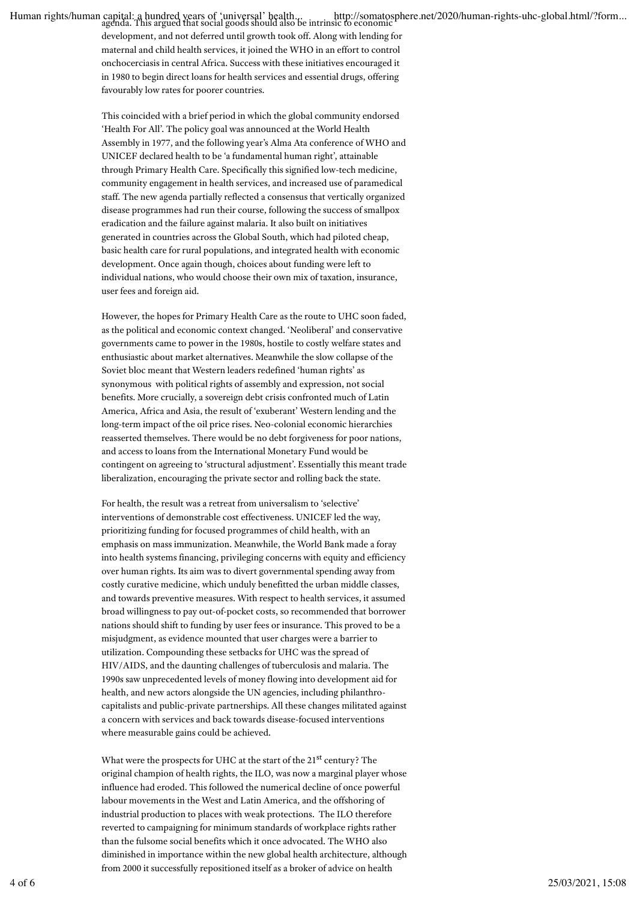Human rights/human capital: a hundred years of 'universal' health... http://somatosphere.net/2020/human-rights-uhc-global.html/?form...<br>agenda. This argued that social goods should also be intrinsic to economic

development, and not deferred until growth took off. Along with lending for maternal and child health services, it joined the WHO in an effort to control onchocerciasis in central Africa. Success with these initiatives encouraged it in 1980 to begin direct loans for health services and essential drugs, offering favourably low rates for poorer countries.

This coincided with a brief period in which the global community endorsed 'Health For All'. The policy goal was announced at the World Health Assembly in 1977, and the following year's Alma Ata conference of WHO and UNICEF declared health to be 'a fundamental human right', attainable through Primary Health Care. Specifically this signified low-tech medicine, community engagement in health services, and increased use of paramedical staff. The new agenda partially reflected a consensus that vertically organized disease programmes had run their course, following the success of smallpox eradication and the failure against malaria. It also built on initiatives generated in countries across the Global South, which had piloted cheap, basic health care for rural populations, and integrated health with economic development. Once again though, choices about funding were left to individual nations, who would choose their own mix of taxation, insurance, user fees and foreign aid.

However, the hopes for Primary Health Care as the route to UHC soon faded, as the political and economic context changed. 'Neoliberal' and conservative governments came to power in the 1980s, hostile to costly welfare states and enthusiastic about market alternatives. Meanwhile the slow collapse of the Soviet bloc meant that Western leaders redefined 'human rights' as synonymous with political rights of assembly and expression, not social benefits. More crucially, a sovereign debt crisis confronted much of Latin America, Africa and Asia, the result of 'exuberant' Western lending and the long-term impact of the oil price rises. Neo-colonial economic hierarchies reasserted themselves. There would be no debt forgiveness for poor nations, and access to loans from the International Monetary Fund would be contingent on agreeing to 'structural adjustment'. Essentially this meant trade liberalization, encouraging the private sector and rolling back the state.

For health, the result was a retreat from universalism to 'selective' interventions of demonstrable cost effectiveness. UNICEF led the way, prioritizing funding for focused programmes of child health, with an emphasis on mass immunization. Meanwhile, the World Bank made a foray into health systems financing, privileging concerns with equity and efficiency over human rights. Its aim was to divert governmental spending away from costly curative medicine, which unduly benefitted the urban middle classes, and towards preventive measures. With respect to health services, it assumed broad willingness to pay out-of-pocket costs, so recommended that borrower nations should shift to funding by user fees or insurance. This proved to be a misjudgment, as evidence mounted that user charges were a barrier to utilization. Compounding these setbacks for UHC was the spread of HIV/AIDS, and the daunting challenges of tuberculosis and malaria. The 1990s saw unprecedented levels of money flowing into development aid for health, and new actors alongside the UN agencies, including philanthrocapitalists and public-private partnerships. All these changes militated against a concern with services and back towards disease-focused interventions where measurable gains could be achieved.

What were the prospects for UHC at the start of the 21<sup>st</sup> century? The original champion of health rights, the ILO, was now a marginal player whose influence had eroded. This followed the numerical decline of once powerful labour movements in the West and Latin America, and the offshoring of industrial production to places with weak protections. The ILO therefore reverted to campaigning for minimum standards of workplace rights rather than the fulsome social benefits which it once advocated. The WHO also diminished in importance within the new global health architecture, although from 2000 it successfully repositioned itself as a broker of advice on health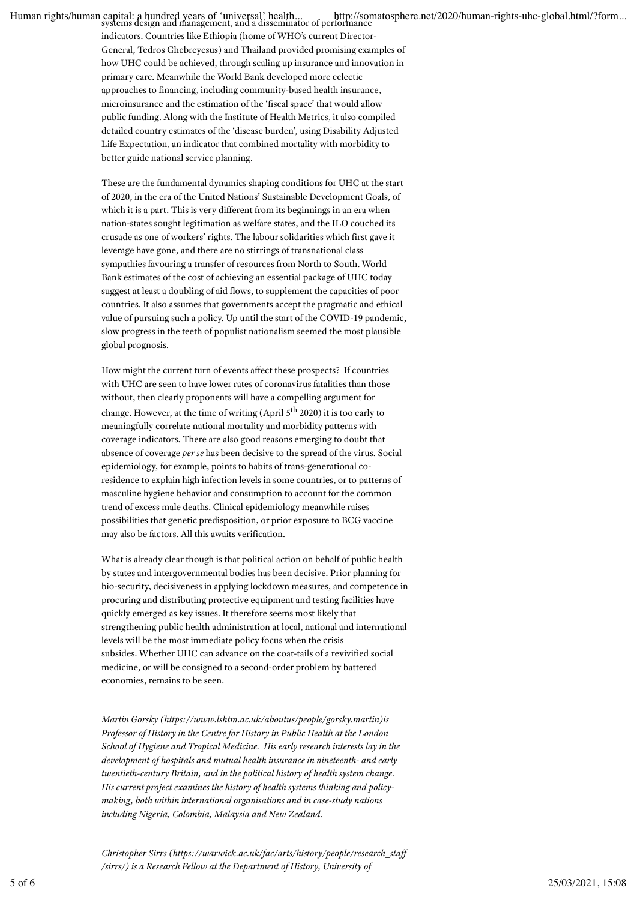Human rights/human capital: a hundred years of 'universal' health... http://somatosphere.net/2020/human-rights-uhc-global.html/?form...<br>systems design and management, and a disseminator of performance

indicators. Countries like Ethiopia (home of WHO's current Director-General, Tedros Ghebreyesus) and Thailand provided promising examples of how UHC could be achieved, through scaling up insurance and innovation in primary care. Meanwhile the World Bank developed more eclectic approaches to financing, including community-based health insurance, microinsurance and the estimation of the 'fiscal space' that would allow public funding. Along with the Institute of Health Metrics, it also compiled detailed country estimates of the 'disease burden', using Disability Adjusted Life Expectation, an indicator that combined mortality with morbidity to better guide national service planning.

These are the fundamental dynamics shaping conditions for UHC at the start of 2020, in the era of the United Nations' Sustainable Development Goals, of which it is a part. This is very different from its beginnings in an era when nation-states sought legitimation as welfare states, and the ILO couched its crusade as one of workers' rights. The labour solidarities which first gave it leverage have gone, and there are no stirrings of transnational class sympathies favouring a transfer of resources from North to South. World Bank estimates of the cost of achieving an essential package of UHC today suggest at least a doubling of aid flows, to supplement the capacities of poor countries. It also assumes that governments accept the pragmatic and ethical value of pursuing such a policy. Up until the start of the COVID-19 pandemic, slow progress in the teeth of populist nationalism seemed the most plausible global prognosis.

How might the current turn of events affect these prospects? If countries with UHC are seen to have lower rates of coronavirus fatalities than those without, then clearly proponents will have a compelling argument for change. However, at the time of writing (April 5<sup>th</sup> 2020) it is too early to meaningfully correlate national mortality and morbidity patterns with coverage indicators. There are also good reasons emerging to doubt that absence of coverage *per se* has been decisive to the spread of the virus. Social epidemiology, for example, points to habits of trans-generational coresidence to explain high infection levels in some countries, or to patterns of masculine hygiene behavior and consumption to account for the common trend of excess male deaths. Clinical epidemiology meanwhile raises possibilities that genetic predisposition, or prior exposure to BCG vaccine may also be factors. All this awaits verification.

What is already clear though is that political action on behalf of public health by states and intergovernmental bodies has been decisive. Prior planning for bio-security, decisiveness in applying lockdown measures, and competence in procuring and distributing protective equipment and testing facilities have quickly emerged as key issues. It therefore seems most likely that strengthening public health administration at local, national and international levels will be the most immediate policy focus when the crisis subsides. Whether UHC can advance on the coat-tails of a revivified social medicine, or will be consigned to a second-order problem by battered economies, remains to be seen.

*Martin Gorsky (https://www.lshtm.ac.uk/aboutus/people/gorsky.martin)is Professor of History in the Centre for History in Public Health at the London School of Hygiene and Tropical Medicine. His early research interests lay in the development of hospitals and mutual health insurance in nineteenth- and early twentieth-century Britain, and in the political history of health system change. His current project examines the history of health systems thinking and policymaking, both within international organisations and in case-study nations including Nigeria, Colombia, Malaysia and New Zealand.*

*Christopher Sirrs (https://warwick.ac.uk/fac/arts/history/people/research\_staff /sirrs/) is a Research Fellow at the Department of History, University of*